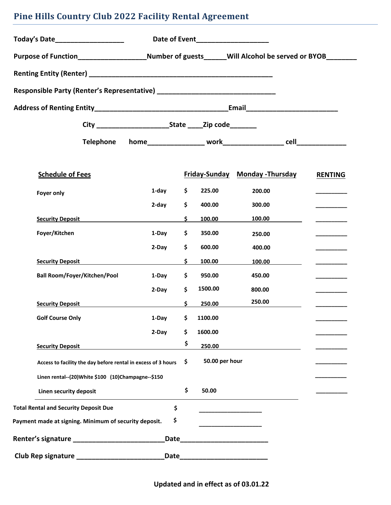# **Pine Hills Country Club 2022 Facility Rental Agreement**

| Today's Date____________________                                                                           | Date of Event___________________ |    |                                              |                                              |                |
|------------------------------------------------------------------------------------------------------------|----------------------------------|----|----------------------------------------------|----------------------------------------------|----------------|
| Purpose of Function__________________________Number of guests_______Will Alcohol be served or BYOB________ |                                  |    |                                              |                                              |                |
|                                                                                                            |                                  |    |                                              |                                              |                |
|                                                                                                            |                                  |    |                                              |                                              |                |
|                                                                                                            |                                  |    |                                              |                                              |                |
|                                                                                                            |                                  |    |                                              |                                              |                |
| Telephone                                                                                                  |                                  |    |                                              |                                              |                |
| <b>Schedule of Fees</b>                                                                                    |                                  |    |                                              | <b>Friday-Sunday Monday-Thursday</b>         | <b>RENTING</b> |
| Foyer only                                                                                                 | 1-day                            | \$ | 225.00                                       | 200.00                                       |                |
|                                                                                                            | 2-day                            | \$ | 400.00                                       | 300.00                                       |                |
| <b>Security Deposit</b>                                                                                    |                                  | \$ | 100.00                                       | 100.00                                       |                |
| Foyer/Kitchen                                                                                              | 1-Day                            | \$ | 350.00                                       | 250.00                                       |                |
|                                                                                                            | 2-Day                            | \$ | 600.00                                       | 400.00                                       |                |
| <b>Security Deposit</b>                                                                                    |                                  | \$ | 100.00                                       | 100.00                                       |                |
| <b>Ball Room/Foyer/Kitchen/Pool</b>                                                                        | 1-Day                            | \$ | 950.00                                       | 450.00                                       |                |
|                                                                                                            | 2-Day                            | \$ | 1500.00                                      | 800.00                                       |                |
| <b>Security Deposit</b>                                                                                    |                                  | \$ | 250.00                                       | 250.00                                       |                |
| <b>Golf Course Only</b>                                                                                    | 1-Day                            | \$ | 1100.00                                      |                                              |                |
|                                                                                                            | 2-Day                            | \$ | 1600.00                                      |                                              |                |
| <b>Security Deposit</b>                                                                                    |                                  | \$ | 250.00                                       |                                              |                |
| Access to facility the day before rental in excess of 3 hours                                              |                                  | \$ | 50.00 per hour                               |                                              |                |
| Linen rental--(20)White \$100 (10)Champagne--\$150                                                         |                                  |    |                                              |                                              |                |
| Linen security deposit                                                                                     |                                  | \$ | 50.00                                        |                                              |                |
| <b>Total Rental and Security Deposit Due</b>                                                               | \$                               |    |                                              | the control of the control of the control of |                |
| Payment made at signing. Minimum of security deposit.                                                      | \$                               |    | the control of the control of the control of |                                              |                |
|                                                                                                            | Date                             |    |                                              |                                              |                |
|                                                                                                            |                                  |    |                                              |                                              |                |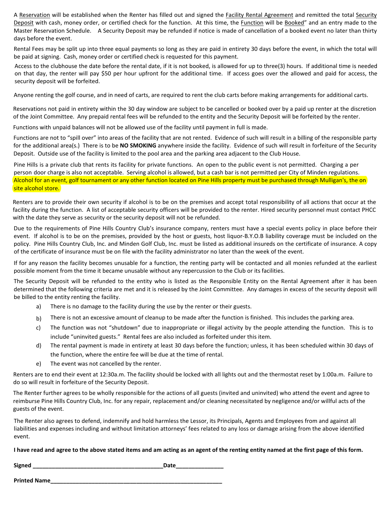A Reservation will be established when the Renter has filled out and signed the Facility Rental Agreement and remitted the total Security Deposit with cash, money order, or certified check for the function. At this time, the Function will be Booked" and an entry made to the Master Reservation Schedule. A Security Deposit may be refunded if notice is made of cancellation of a booked event no later than thirty days before the event.

Rental Fees may be split up into three equal payments so long as they are paid in entirety 30 days before the event, in which the total will be paid at signing. Cash, money order or certified check is requested for this payment.

Access to the clubhouse the date before the rental date, if it is not booked, is allowed for up to three(3) hours. If additional time is needed on that day, the renter will pay \$50 per hour upfront for the additional time. If access goes over the allowed and paid for access, the security deposit will be forfeited.

Anyone renting the golf course, and in need of carts, are required to rent the club carts before making arrangements for additional carts.

Reservations not paid in entirety within the 30 day window are subject to be cancelled or booked over by a paid up renter at the discretion of the Joint Committee. Any prepaid rental fees will be refunded to the entity and the Security Deposit will be forfeited by the renter.

Functions with unpaid balances will not be allowed use of the facility until payment in full is made.

Functions are not to "spill over" into areas of the facility that are not rented. Evidence of such will result in a billing of the responsible party for the additional area(s.) There is to be **NO SMOKING** anywhere inside the facility. Evidence of such will result in forfeiture of the Security Deposit. Outside use of the facility is limited to the pool area and the parking area adjacent to the Club House.

Pine Hills is a private club that rents its facility for private functions. An open to the public event is not permitted. Charging a per person door charge is also not acceptable. Serving alcohol is allowed, but a cash bar is not permitted per City of Minden regulations. Alcohol for an event, golf tournament or any other function located on Pine Hills property must be purchased through Mulligan's, the on site alcohol store.

Renters are to provide their own security if alcohol is to be on the premises and accept total responsibility of all actions that occur at the facility during the function. A list of acceptable security officers will be provided to the renter. Hired security personnel must contact PHCC with the date they serve as security or the security deposit will not be refunded.

Due to the requirements of Pine Hills Country Club's insurance company, renters must have a special events policy in place before their event. If alcohol is to be on the premises, provided by the host or guests, host liquor-B.Y.O.B liability coverage must be included on the policy. Pine Hills Country Club, Inc. and Minden Golf Club, Inc. must be listed as additional insureds on the certificate of insurance. A copy of the certificate of insurance must be on file with the facility administrator no later than the week of the event.

If for any reason the facility becomes unusable for a function, the renting party will be contacted and all monies refunded at the earliest possible moment from the time it became unusable without any repercussion to the Club or its facilities.

The Security Deposit will be refunded to the entity who is listed as the Responsible Entity on the Rental Agreement after it has been determined that the following criteria are met and it is released by the Joint Committee. Any damages in excess of the security deposit will be billed to the entity renting the facility.

- a) There is no damage to the facility during the use by the renter or their guests.
- $b)$  There is not an excessive amount of cleanup to be made after the function is finished. This includes the parking area.
- c) The function was not "shutdown" due to inappropriate or illegal activity by the people attending the function. This is to include "uninvited guests." Rental fees are also included as forfeited under this item.
- d) The rental payment is made in entirety at least 30 days before the function; unless, it has been scheduled within 30 days of the function, where the entire fee will be due at the time of rental.
- e) The event was not cancelled by the renter.

Renters are to end their event at 12:30a.m. The facility should be locked with all lights out and the thermostat reset by 1:00a.m. Failure to do so will result in forfeiture of the Security Deposit.

The Renter further agrees to be wholly responsible for the actions of all guests (invited and uninvited) who attend the event and agree to reimburse Pine Hills Country Club, Inc. for any repair, replacement and/or cleaning necessitated by negligence and/or willful acts of the guests of the event.

The Renter also agrees to defend, indemnify and hold harmless the Lessor, its Principals, Agents and Employees from and against all liabilities and expenses including and without limitation attorneys' fees related to any loss or damage arising from the above identified event.

#### **I have read and agree to the above stated items and am acting as an agent of the renting entity named at the first page of this form.**

**Signed Contract Contract Contract Contract Contract Contract Contract Contract Contract Contract Contract Contract Contract Contract Contract Contract Contract Contract Contract Contract Contract Contract Contract Contr** 

**Printed Name**